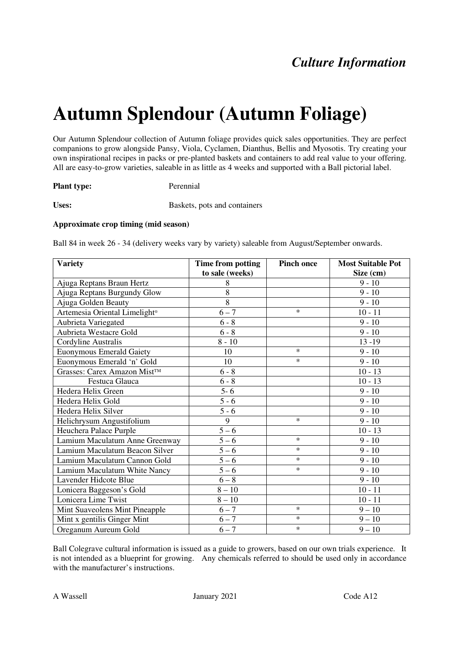# **Autumn Splendour (Autumn Foliage)**

Our Autumn Splendour collection of Autumn foliage provides quick sales opportunities. They are perfect companions to grow alongside Pansy, Viola, Cyclamen, Dianthus, Bellis and Myosotis. Try creating your own inspirational recipes in packs or pre-planted baskets and containers to add real value to your offering. All are easy-to-grow varieties, saleable in as little as 4 weeks and supported with a Ball pictorial label.

#### **Plant type:** Perennial

Uses: **Baskets**, pots and containers

#### **Approximate crop timing (mid season)**

Ball 84 in week 26 - 34 (delivery weeks vary by variety) saleable from August/September onwards.

| <b>Variety</b>                            | Time from potting | <b>Pinch once</b> | <b>Most Suitable Pot</b> |
|-------------------------------------------|-------------------|-------------------|--------------------------|
|                                           | to sale (weeks)   |                   | Size (cm)                |
| Ajuga Reptans Braun Hertz                 | 8                 |                   | $9 - 10$                 |
| Ajuga Reptans Burgundy Glow               | 8                 |                   | $9 - 10$                 |
| Ajuga Golden Beauty                       | 8                 |                   | $9 - 10$                 |
| Artemesia Oriental Limelight <sup>®</sup> | $6 - 7$           | $\ast$            | $10 - 11$                |
| Aubrieta Variegated                       | $6 - 8$           |                   | $9 - 10$                 |
| Aubrieta Westacre Gold                    | $6 - 8$           |                   | $9 - 10$                 |
| Cordyline Australis                       | $8 - 10$          |                   | $13 - 19$                |
| <b>Euonymous Emerald Gaiety</b>           | 10                | $\ast$            | $9 - 10$                 |
| Euonymous Emerald 'n' Gold                | 10                | $\ast$            | $9 - 10$                 |
| Grasses: Carex Amazon Mist™               | $6 - 8$           |                   | $10 - 13$                |
| Festuca Glauca                            | $6 - 8$           |                   | $10 - 13$                |
| Hedera Helix Green                        | $5 - 6$           |                   | $9 - 10$                 |
| Hedera Helix Gold                         | $5 - 6$           |                   | $9 - 10$                 |
| Hedera Helix Silver                       | $5 - 6$           |                   | $9 - 10$                 |
| Helichrysum Angustifolium                 | 9                 | $\ast$            | $9 - 10$                 |
| Heuchera Palace Purple                    | $5-6$             |                   | $10 - 13$                |
| Lamium Maculatum Anne Greenway            | $5 - 6$           | $\ast$            | $9 - 10$                 |
| Lamium Maculatum Beacon Silver            | $\frac{1}{5} - 6$ | $\ast$            | $9 - 10$                 |
| Lamium Maculatum Cannon Gold              | $5 - 6$           | $\ast$            | $9 - 10$                 |
| Lamium Maculatum White Nancy              | $5 - 6$           | $\ast$            | $9 - 10$                 |
| Lavender Hidcote Blue                     | $6 - 8$           |                   | $9 - 10$                 |
| Lonicera Baggeson's Gold                  | $8-10\,$          |                   | $10 - 11$                |
| Lonicera Lime Twist                       | $8 - 10$          |                   | $10 - 11$                |
| Mint Suaveolens Mint Pineapple            | $6 - 7$           | $\ast$            | $9 - 10$                 |
| Mint x gentilis Ginger Mint               | $6 - 7$           | $\ast$            | $9 - 10$                 |
| Oreganum Aureum Gold                      | $6 - 7$           | $\ast$            | $9 - 10$                 |

Ball Colegrave cultural information is issued as a guide to growers, based on our own trials experience. It is not intended as a blueprint for growing. Any chemicals referred to should be used only in accordance with the manufacturer's instructions.